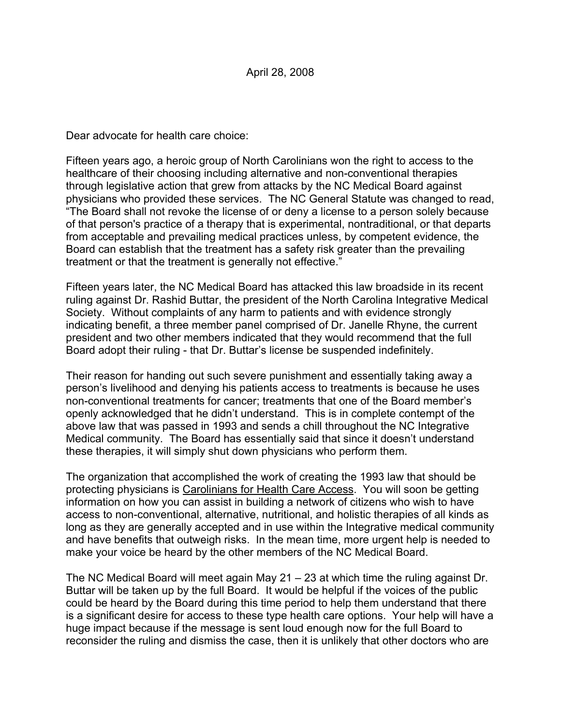Dear advocate for health care choice:

Fifteen years ago, a heroic group of North Carolinians won the right to access to the healthcare of their choosing including alternative and non-conventional therapies through legislative action that grew from attacks by the NC Medical Board against physicians who provided these services. The NC General Statute was changed to read, "The Board shall not revoke the license of or deny a license to a person solely because of that person's practice of a therapy that is experimental, nontraditional, or that departs from acceptable and prevailing medical practices unless, by competent evidence, the Board can establish that the treatment has a safety risk greater than the prevailing treatment or that the treatment is generally not effective."

Fifteen years later, the NC Medical Board has attacked this law broadside in its recent ruling against Dr. Rashid Buttar, the president of the North Carolina Integrative Medical Society. Without complaints of any harm to patients and with evidence strongly indicating benefit, a three member panel comprised of Dr. Janelle Rhyne, the current president and two other members indicated that they would recommend that the full Board adopt their ruling - that Dr. Buttar's license be suspended indefinitely.

Their reason for handing out such severe punishment and essentially taking away a person's livelihood and denying his patients access to treatments is because he uses non-conventional treatments for cancer; treatments that one of the Board member's openly acknowledged that he didn't understand. This is in complete contempt of the above law that was passed in 1993 and sends a chill throughout the NC Integrative Medical community. The Board has essentially said that since it doesn't understand these therapies, it will simply shut down physicians who perform them.

The organization that accomplished the work of creating the 1993 law that should be protecting physicians is Carolinians for Health Care Access. You will soon be getting information on how you can assist in building a network of citizens who wish to have access to non-conventional, alternative, nutritional, and holistic therapies of all kinds as long as they are generally accepted and in use within the Integrative medical community and have benefits that outweigh risks. In the mean time, more urgent help is needed to make your voice be heard by the other members of the NC Medical Board.

The NC Medical Board will meet again May 21 – 23 at which time the ruling against Dr. Buttar will be taken up by the full Board. It would be helpful if the voices of the public could be heard by the Board during this time period to help them understand that there is a significant desire for access to these type health care options. Your help will have a huge impact because if the message is sent loud enough now for the full Board to reconsider the ruling and dismiss the case, then it is unlikely that other doctors who are